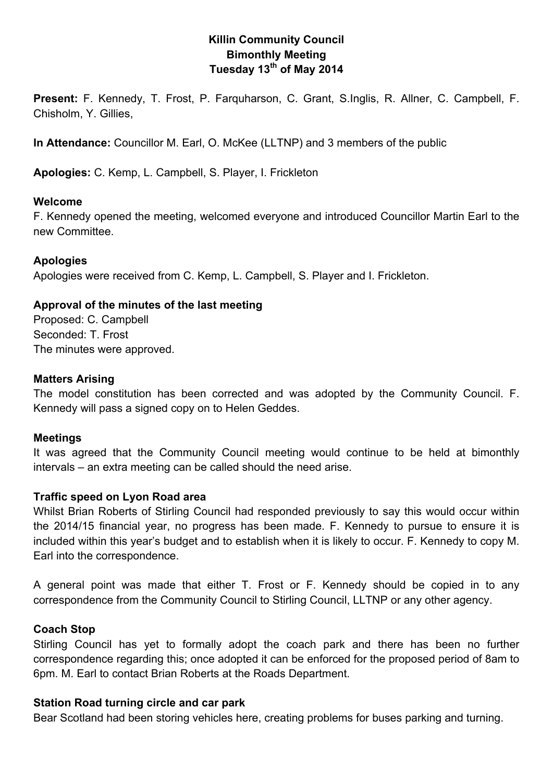## **Killin Community Council Bimonthly Meeting Tuesday 13th of May 2014**

**Present:** F. Kennedy, T. Frost, P. Farquharson, C. Grant, S.Inglis, R. Allner, C. Campbell, F. Chisholm, Y. Gillies,

**In Attendance:** Councillor M. Earl, O. McKee (LLTNP) and 3 members of the public

**Apologies:** C. Kemp, L. Campbell, S. Player, I. Frickleton

#### **Welcome**

F. Kennedy opened the meeting, welcomed everyone and introduced Councillor Martin Earl to the new Committee.

#### **Apologies**

Apologies were received from C. Kemp, L. Campbell, S. Player and I. Frickleton.

#### **Approval of the minutes of the last meeting**

Proposed: C. Campbell Seconded: T. Frost The minutes were approved.

#### **Matters Arising**

The model constitution has been corrected and was adopted by the Community Council. F. Kennedy will pass a signed copy on to Helen Geddes.

#### **Meetings**

It was agreed that the Community Council meeting would continue to be held at bimonthly intervals – an extra meeting can be called should the need arise.

#### **Traffic speed on Lyon Road area**

Whilst Brian Roberts of Stirling Council had responded previously to say this would occur within the 2014/15 financial year, no progress has been made. F. Kennedy to pursue to ensure it is included within this year's budget and to establish when it is likely to occur. F. Kennedy to copy M. Earl into the correspondence.

A general point was made that either T. Frost or F. Kennedy should be copied in to any correspondence from the Community Council to Stirling Council, LLTNP or any other agency.

#### **Coach Stop**

Stirling Council has yet to formally adopt the coach park and there has been no further correspondence regarding this; once adopted it can be enforced for the proposed period of 8am to 6pm. M. Earl to contact Brian Roberts at the Roads Department.

#### **Station Road turning circle and car park**

Bear Scotland had been storing vehicles here, creating problems for buses parking and turning.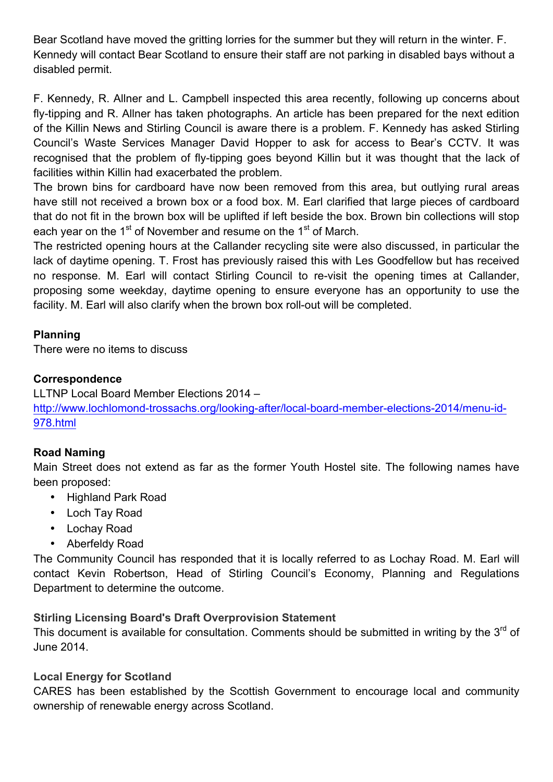Bear Scotland have moved the gritting lorries for the summer but they will return in the winter. F. Kennedy will contact Bear Scotland to ensure their staff are not parking in disabled bays without a disabled permit.

F. Kennedy, R. Allner and L. Campbell inspected this area recently, following up concerns about fly-tipping and R. Allner has taken photographs. An article has been prepared for the next edition of the Killin News and Stirling Council is aware there is a problem. F. Kennedy has asked Stirling Council's Waste Services Manager David Hopper to ask for access to Bear's CCTV. It was recognised that the problem of fly-tipping goes beyond Killin but it was thought that the lack of facilities within Killin had exacerbated the problem.

The brown bins for cardboard have now been removed from this area, but outlying rural areas have still not received a brown box or a food box. M. Earl clarified that large pieces of cardboard that do not fit in the brown box will be uplifted if left beside the box. Brown bin collections will stop each year on the 1<sup>st</sup> of November and resume on the 1<sup>st</sup> of March.

The restricted opening hours at the Callander recycling site were also discussed, in particular the lack of daytime opening. T. Frost has previously raised this with Les Goodfellow but has received no response. M. Earl will contact Stirling Council to re-visit the opening times at Callander, proposing some weekday, daytime opening to ensure everyone has an opportunity to use the facility. M. Earl will also clarify when the brown box roll-out will be completed.

# **Planning**

There were no items to discuss

# **Correspondence**

LLTNP Local Board Member Elections 2014 – http://www.lochlomond-trossachs.org/looking-after/local-board-member-elections-2014/menu-id-978.html

# **Road Naming**

Main Street does not extend as far as the former Youth Hostel site. The following names have been proposed:

- Highland Park Road
- Loch Tay Road
- Lochay Road
- Aberfeldy Road

The Community Council has responded that it is locally referred to as Lochay Road. M. Earl will contact Kevin Robertson, Head of Stirling Council's Economy, Planning and Regulations Department to determine the outcome.

### **Stirling Licensing Board's Draft Overprovision Statement**

This document is available for consultation. Comments should be submitted in writing by the  $3<sup>rd</sup>$  of June 2014.

### **Local Energy for Scotland**

CARES has been established by the Scottish Government to encourage local and community ownership of renewable energy across Scotland.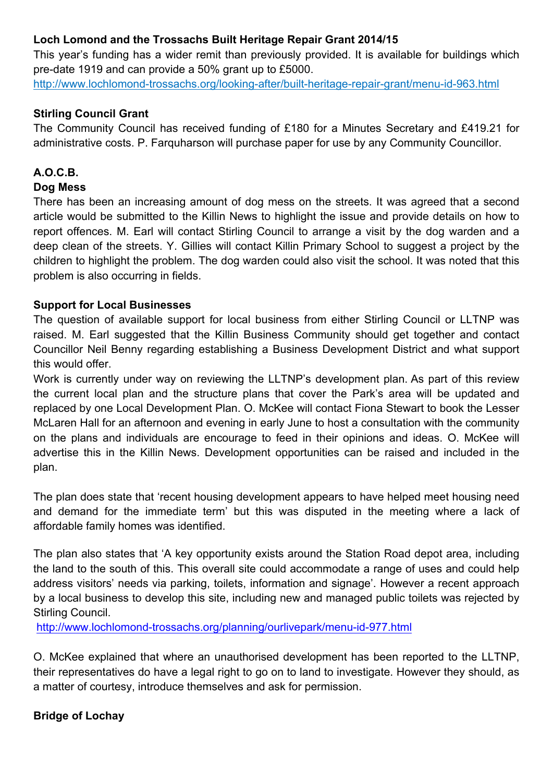## **Loch Lomond and the Trossachs Built Heritage Repair Grant 2014/15**

This year's funding has a wider remit than previously provided. It is available for buildings which pre-date 1919 and can provide a 50% grant up to £5000.

http://www.lochlomond-trossachs.org/looking-after/built-heritage-repair-grant/menu-id-963.html

### **Stirling Council Grant**

The Community Council has received funding of £180 for a Minutes Secretary and £419.21 for administrative costs. P. Farquharson will purchase paper for use by any Community Councillor.

### **A.O.C.B.**

#### **Dog Mess**

There has been an increasing amount of dog mess on the streets. It was agreed that a second article would be submitted to the Killin News to highlight the issue and provide details on how to report offences. M. Earl will contact Stirling Council to arrange a visit by the dog warden and a deep clean of the streets. Y. Gillies will contact Killin Primary School to suggest a project by the children to highlight the problem. The dog warden could also visit the school. It was noted that this problem is also occurring in fields.

#### **Support for Local Businesses**

The question of available support for local business from either Stirling Council or LLTNP was raised. M. Earl suggested that the Killin Business Community should get together and contact Councillor Neil Benny regarding establishing a Business Development District and what support this would offer.

Work is currently under way on reviewing the LLTNP's development plan. As part of this review the current local plan and the structure plans that cover the Park's area will be updated and replaced by one Local Development Plan. O. McKee will contact Fiona Stewart to book the Lesser McLaren Hall for an afternoon and evening in early June to host a consultation with the community on the plans and individuals are encourage to feed in their opinions and ideas. O. McKee will advertise this in the Killin News. Development opportunities can be raised and included in the plan.

The plan does state that 'recent housing development appears to have helped meet housing need and demand for the immediate term' but this was disputed in the meeting where a lack of affordable family homes was identified.

The plan also states that 'A key opportunity exists around the Station Road depot area, including the land to the south of this. This overall site could accommodate a range of uses and could help address visitors' needs via parking, toilets, information and signage'. However a recent approach by a local business to develop this site, including new and managed public toilets was rejected by Stirling Council.

http://www.lochlomond-trossachs.org/planning/ourlivepark/menu-id-977.html

O. McKee explained that where an unauthorised development has been reported to the LLTNP, their representatives do have a legal right to go on to land to investigate. However they should, as a matter of courtesy, introduce themselves and ask for permission.

### **Bridge of Lochay**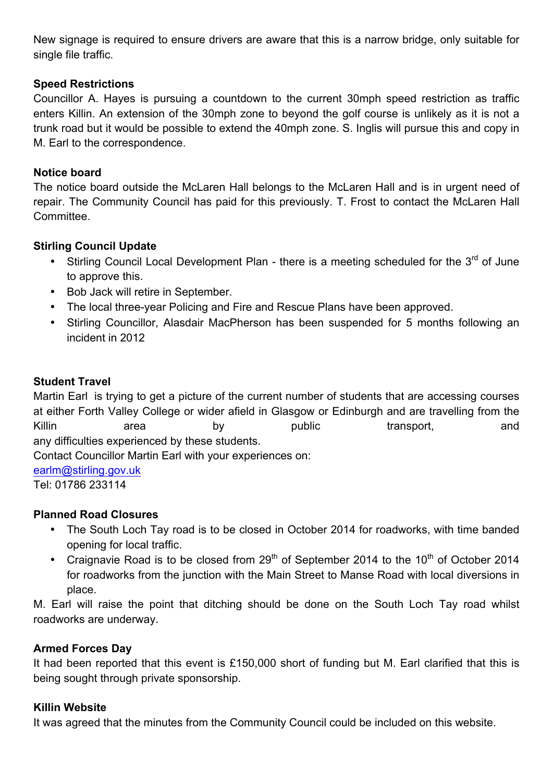New signage is required to ensure drivers are aware that this is a narrow bridge, only suitable for single file traffic.

## **Speed Restrictions**

Councillor A. Hayes is pursuing a countdown to the current 30mph speed restriction as traffic enters Killin. An extension of the 30mph zone to beyond the golf course is unlikely as it is not a trunk road but it would be possible to extend the 40mph zone. S. Inglis will pursue this and copy in M. Earl to the correspondence.

### **Notice board**

The notice board outside the McLaren Hall belongs to the McLaren Hall and is in urgent need of repair. The Community Council has paid for this previously. T. Frost to contact the McLaren Hall Committee.

## **Stirling Council Update**

- Stirling Council Local Development Plan there is a meeting scheduled for the  $3^{rd}$  of June to approve this.
- Bob Jack will retire in September.
- The local three-year Policing and Fire and Rescue Plans have been approved.
- Stirling Councillor, Alasdair MacPherson has been suspended for 5 months following an incident in 2012

# **Student Travel**

Martin Earl is trying to get a picture of the current number of students that are accessing courses at either Forth Valley College or wider afield in Glasgow or Edinburgh and are travelling from the Killin area by public transport, and any difficulties experienced by these students.

Contact Councillor Martin Earl with your experiences on:

earlm@stirling.gov.uk

Tel: 01786 233114

# **Planned Road Closures**

- The South Loch Tay road is to be closed in October 2014 for roadworks, with time banded opening for local traffic.
- Craignavie Road is to be closed from  $29<sup>th</sup>$  of September 2014 to the 10<sup>th</sup> of October 2014 for roadworks from the junction with the Main Street to Manse Road with local diversions in place.

M. Earl will raise the point that ditching should be done on the South Loch Tay road whilst roadworks are underway.

### **Armed Forces Day**

It had been reported that this event is £150,000 short of funding but M. Earl clarified that this is being sought through private sponsorship.

### **Killin Website**

It was agreed that the minutes from the Community Council could be included on this website.